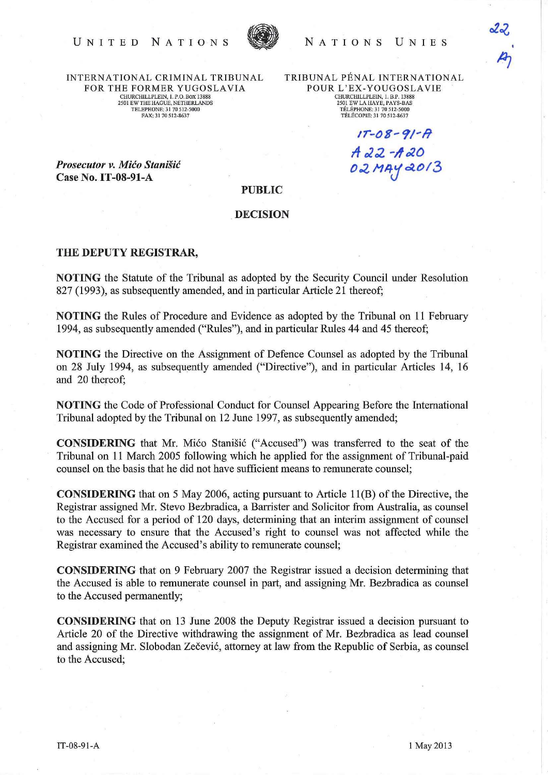

INTERNATIONAL CRIMINAL TRIBUNAL FOR THE FORMER YUGOSLAVIA CHURCHILLPLEIN, 1. P.O. BOX 13888 2501 EW THE HAOUE, NETHERLANDS TELEPHONE; 31 70 512-5000 FAX: 3170512-8637

TRIBUNAL PENAL INTERNATIONAL POUR L'EX-YOUGOSLAVIE<br>CHURCHILLPLEIN, 1. B.P. 13888 2501 EW LAHAYE, PAYS-BAS TELEPHONE; 31 705[2-5000 TÉLÉCOPIE: 31 70 512-8637

 $1T-08-91-7$ 

02 MAY 2013

 $A$ 22 - $A$ 20

**Prosecutor v. Mićo Stanišić** Case No.IT-08-91-A

## PUBLIC

## **DECISION**

## THE DEPUTY REGISTRAR,

NOTING the Statute of the Tribunal as adopted by the Security Council under Resolution 827 (1993), as subsequently amended, and in particular Article 21 thereof;

NOTING the Rules of Procedure and Evidence as adopted by the Tribunal on 11 February 1994, as subsequently amended ("Rules"), and in particular Rules 44 and 45 thereof;

NOTING the Directive on the Assignment of Defence Counsel as adopted by the Tribunal on 28 July 1994, as subsequently amended ("Directive"), and in particular Articles 14, 16 and 20 thereof;

NOTING the Code of Professional Conduct for Counsel Appearing Before the International Tribunal adopted by the Tribunal on 12 June 1997, as subsequently amended;

CONSIDERING that Mr. Mico Stanisic ("Accused") was transferred to the seat of the Tribunal on 11 March 2005 following which he applied for the assignment of Tribunal-paid counsel on the basis that he did not have sufficient means to remunerate counsel;

CONSIDERING that on 5 May 2006, acting pursuant to Article lI(B) of the Directive, the Registrar assigned Mr. Stevo Bezbradica, a Barrister and Solicitor from Australia, as counsel to the Accused for a period of 120 days, determining that an interim assignment of counsel was necessary to ensure that the Accused's right to counsel was not affected while the Registrar examined the Accused's ability to remunerate counsel;

CONSIDERING that on 9 February 2007 the Registrar issued a decision determining that the Accused is able to remunerate counsel in part, and assigning Mr. Bezbradica as counsel to the Accused permanently;

CONSIDERING that on 13 June 2008 the Deputy Registrar issued a decision pursuant to Article 20 of the Directive withdrawing the assignment of Mr. Bezbradica as lead counsel and assigning Mr. Slobodan Zečević, attorney at law from the Republic of Serbia, as counsel to the Accused;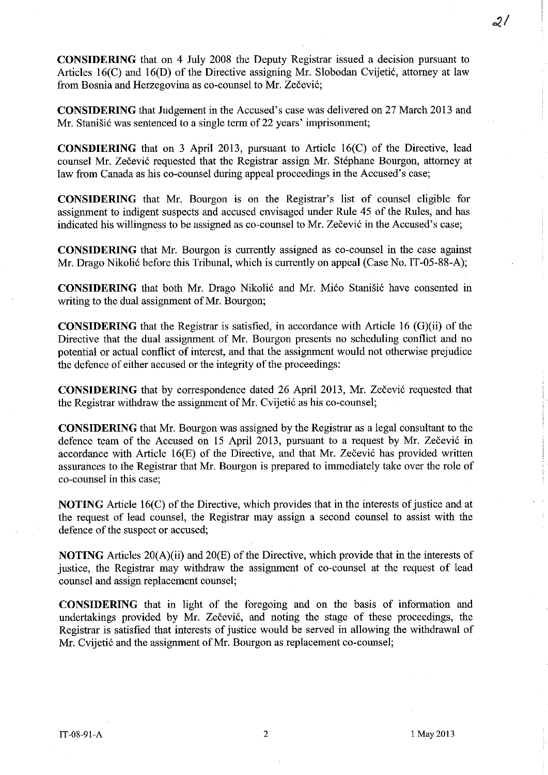**CONSIDERING** that on 4 July 2008 the Deputy Registrar issued a decision pursuant to Articles 16(C) and 16(D) of the Directive assigning Mr. Slobodan Cvijetić, attorney at law from Bosnia and Herzegovina as co-counsel to Mr. Zečević;

**CONSIDERING** that Judgement in the Accused's case was delivered on 27 March 2013 and Mr. Stanišić was sentenced to a single term of 22 years' imprisonment;

**CONSDlERING** that on 3 April 2013, pursuant to Article 16(C) of the Directive, lead counsel Mr. Zečević requested that the Registrar assign Mr. Stéphane Bourgon, attorney at law from Canada as his co-counsel during appeal proceedings in the Accused's case;

**CONSIDERING** that Mr. Bourgon is on the Registrar's list of counsel eligible for assignment to indigent suspects and accused envisaged under Rule 45 of the Rules, and has indicated his willingness to be assigned as co-counsel to Mr. Zečević in the Accused's case;

**CONSIDERING** that Mr. Bourgon is currently assigned as co-counsel in the case against Mr. Drago Nikolić before this Tribunal, which is currently on appeal (Case No. IT-05-88-A);

**CONSIDERING** that both Mr. Drago Nikolić and Mr. Mićo Stanišić have consented in writing to the dual assignment of Mr. Bourgon;

**CONSIDERING** that the Registrar is satisfied, in accordance with Article 16 (G)(ii) of the Directive that the dual assignment of Mr. Bourgon presents no scheduling conflict and no potential or actual conflict of interest, and that the assignment would not otherwise prejudice the defence of either accused or the integrity of the proceedings:

**CONSIDERING** that by correspondence dated 26 April 2013, Mr. Zečević requested that the Registrar withdraw the assignment of Mr. Cvijetić as his co-counsel;

**CONSIDERING** that Mr. Bourgon was assigned by the Registrar as a legal consultant to the defence team of the Accused on 15 April 2013, pursuant to a request by Mr. Zečević in accordance with Article  $16(E)$  of the Directive, and that Mr. Zečević has provided written assurances to the Registrar that Mr. Bourgon is prepared to immediately take over the role of co-counsel in this case;

**NOTING** Article 16(C) of the Directive, which provides that in the interests of justice and at the request of lead counsel, the Registrar may assign a second counsel to assist with the defence of the suspect or accused;

**NOTING** Articles 20(A)(ii) and 20(E) of the Directive, which provide that in the interests of justice, the Registrar may withdraw the assignment of co-counsel at the request of lead counsel and assign replacement counsel;

**CONSIDERING** that in light of the foregoing and on the basis of information and undertakings provided by Mr. Zečević, and noting the stage of these proceedings, the Registrar is satisfied that interests of justice would be served in allowing the withdrawal of Mr. Cvijetić and the assignment of Mr. Bourgon as replacement co-counsel;

 $\mathcal{Z}^f$